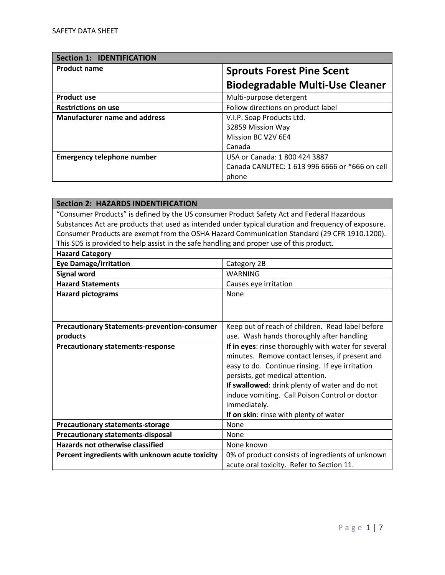| <b>Section 1: IDENTIFICATION</b>     |                                                |
|--------------------------------------|------------------------------------------------|
| <b>Product name</b>                  | <b>Sprouts Forest Pine Scent</b>               |
|                                      | <b>Biodegradable Multi-Use Cleaner</b>         |
| <b>Product use</b>                   | Multi-purpose detergent                        |
| <b>Restrictions on use</b>           | Follow directions on product label             |
| <b>Manufacturer name and address</b> | V.I.P. Soap Products Ltd.                      |
|                                      | 32859 Mission Way                              |
|                                      | Mission BC V2V 6E4                             |
|                                      | Canada                                         |
| <b>Emergency telephone number</b>    | USA or Canada: 1 800 424 3887                  |
|                                      | Canada CANUTEC: 1 613 996 6666 or *666 on cell |
|                                      | phone                                          |

| <b>Section 2: HAZARDS INDENTIFICATION</b>                                                  |                                                                                                     |
|--------------------------------------------------------------------------------------------|-----------------------------------------------------------------------------------------------------|
| "Consumer Products" is defined by the US consumer Product Safety Act and Federal Hazardous |                                                                                                     |
|                                                                                            | Substances Act are products that used as intended under typical duration and frequency of exposure. |
|                                                                                            | Consumer Products are exempt from the OSHA Hazard Communication Standard (29 CFR 1910.1200).        |
| This SDS is provided to help assist in the safe handling and proper use of this product.   |                                                                                                     |
| <b>Hazard Category</b>                                                                     |                                                                                                     |
| <b>Eye Damage/irritation</b>                                                               | Category 2B                                                                                         |
| <b>Signal word</b>                                                                         | <b>WARNING</b>                                                                                      |
| <b>Hazard Statements</b>                                                                   | Causes eye irritation                                                                               |
| <b>Hazard pictograms</b>                                                                   | None                                                                                                |
|                                                                                            |                                                                                                     |
|                                                                                            |                                                                                                     |
| <b>Precautionary Statements-prevention-consumer</b>                                        | Keep out of reach of children. Read label before                                                    |
| products                                                                                   | use. Wash hands thoroughly after handling                                                           |
| <b>Precautionary statements-response</b>                                                   | If in eyes: rinse thoroughly with water for several                                                 |
|                                                                                            | minutes. Remove contact lenses, if present and                                                      |
|                                                                                            | easy to do. Continue rinsing. If eye irritation                                                     |
|                                                                                            | persists, get medical attention.                                                                    |
|                                                                                            | If swallowed: drink plenty of water and do not                                                      |
|                                                                                            | induce vomiting. Call Poison Control or doctor                                                      |
|                                                                                            | immediately.                                                                                        |
| If on skin: rinse with plenty of water                                                     |                                                                                                     |
| <b>Precautionary statements-storage</b>                                                    | None                                                                                                |
| <b>Precautionary statements-disposal</b>                                                   | None                                                                                                |
| <b>Hazards not otherwise classified</b>                                                    | None known                                                                                          |
| Percent ingredients with unknown acute toxicity                                            | 0% of product consists of ingredients of unknown                                                    |
|                                                                                            | acute oral toxicity. Refer to Section 11.                                                           |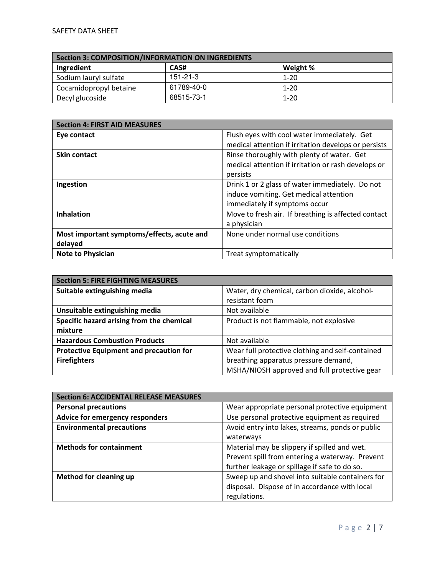| Section 3: COMPOSITION/INFORMATION ON INGREDIENTS |                |          |
|---------------------------------------------------|----------------|----------|
| Ingredient                                        | CAS#           | Weight % |
| Sodium lauryl sulfate                             | $151 - 21 - 3$ | $1 - 20$ |
| Cocamidopropyl betaine                            | 61789-40-0     | $1 - 20$ |
| Decyl glucoside                                   | 68515-73-1     | $1 - 20$ |

| <b>Section 4: FIRST AID MEASURES</b>       |                                                      |
|--------------------------------------------|------------------------------------------------------|
| Eye contact                                | Flush eyes with cool water immediately. Get          |
|                                            | medical attention if irritation develops or persists |
| <b>Skin contact</b>                        | Rinse thoroughly with plenty of water. Get           |
|                                            | medical attention if irritation or rash develops or  |
|                                            | persists                                             |
| Ingestion                                  | Drink 1 or 2 glass of water immediately. Do not      |
|                                            | induce vomiting. Get medical attention               |
|                                            | immediately if symptoms occur                        |
| <b>Inhalation</b>                          | Move to fresh air. If breathing is affected contact  |
|                                            | a physician                                          |
| Most important symptoms/effects, acute and | None under normal use conditions                     |
| delayed                                    |                                                      |
| <b>Note to Physician</b>                   | Treat symptomatically                                |

| <b>Section 5: FIRE FIGHTING MEASURES</b>       |                                                  |
|------------------------------------------------|--------------------------------------------------|
| Suitable extinguishing media                   | Water, dry chemical, carbon dioxide, alcohol-    |
|                                                | resistant foam                                   |
| Unsuitable extinguishing media                 | Not available                                    |
| Specific hazard arising from the chemical      | Product is not flammable, not explosive          |
| mixture                                        |                                                  |
| <b>Hazardous Combustion Products</b>           | Not available                                    |
| <b>Protective Equipment and precaution for</b> | Wear full protective clothing and self-contained |
| <b>Firefighters</b>                            | breathing apparatus pressure demand,             |
|                                                | MSHA/NIOSH approved and full protective gear     |

| <b>Section 6: ACCIDENTAL RELEASE MEASURES</b> |                                                  |
|-----------------------------------------------|--------------------------------------------------|
| <b>Personal precautions</b>                   | Wear appropriate personal protective equipment   |
| Advice for emergency responders               | Use personal protective equipment as required    |
| <b>Environmental precautions</b>              | Avoid entry into lakes, streams, ponds or public |
|                                               | waterways                                        |
| <b>Methods for containment</b>                | Material may be slippery if spilled and wet.     |
|                                               | Prevent spill from entering a waterway. Prevent  |
|                                               | further leakage or spillage if safe to do so.    |
| Method for cleaning up                        | Sweep up and shovel into suitable containers for |
|                                               | disposal. Dispose of in accordance with local    |
|                                               | regulations.                                     |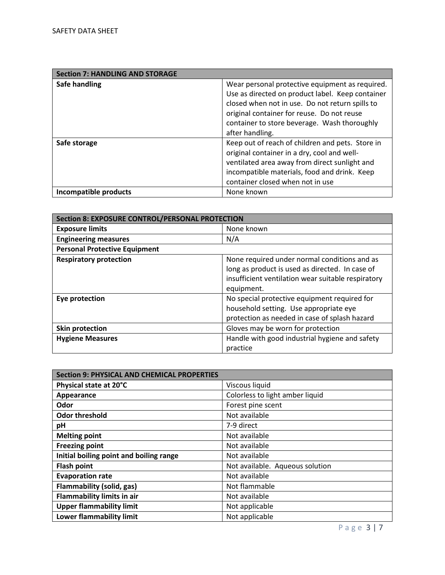| <b>Section 7: HANDLING AND STORAGE</b> |                                                  |
|----------------------------------------|--------------------------------------------------|
| Safe handling                          | Wear personal protective equipment as required.  |
|                                        | Use as directed on product label. Keep container |
|                                        | closed when not in use. Do not return spills to  |
|                                        | original container for reuse. Do not reuse       |
|                                        | container to store beverage. Wash thoroughly     |
|                                        | after handling.                                  |
| Safe storage                           | Keep out of reach of children and pets. Store in |
|                                        | original container in a dry, cool and well-      |
|                                        | ventilated area away from direct sunlight and    |
|                                        | incompatible materials, food and drink. Keep     |
|                                        | container closed when not in use                 |
| Incompatible products                  | None known                                       |

| <b>Section 8: EXPOSURE CONTROL/PERSONAL PROTECTION</b> |                                                    |
|--------------------------------------------------------|----------------------------------------------------|
| <b>Exposure limits</b>                                 | None known                                         |
| <b>Engineering measures</b>                            | N/A                                                |
| <b>Personal Protective Equipment</b>                   |                                                    |
| <b>Respiratory protection</b>                          | None required under normal conditions and as       |
|                                                        | long as product is used as directed. In case of    |
|                                                        | insufficient ventilation wear suitable respiratory |
|                                                        | equipment.                                         |
| Eye protection                                         | No special protective equipment required for       |
|                                                        | household setting. Use appropriate eye             |
|                                                        | protection as needed in case of splash hazard      |
| Skin protection                                        | Gloves may be worn for protection                  |
| <b>Hygiene Measures</b>                                | Handle with good industrial hygiene and safety     |
|                                                        | practice                                           |

| <b>Section 9: PHYSICAL AND CHEMICAL PROPERTIES</b> |                                 |
|----------------------------------------------------|---------------------------------|
| Physical state at 20°C                             | Viscous liquid                  |
| Appearance                                         | Colorless to light amber liquid |
| Odor                                               | Forest pine scent               |
| <b>Odor threshold</b>                              | Not available                   |
| pH                                                 | 7-9 direct                      |
| <b>Melting point</b>                               | Not available                   |
| <b>Freezing point</b>                              | Not available                   |
| Initial boiling point and boiling range            | Not available                   |
| <b>Flash point</b>                                 | Not available. Aqueous solution |
| <b>Evaporation rate</b>                            | Not available                   |
| Flammability (solid, gas)                          | Not flammable                   |
| <b>Flammability limits in air</b>                  | Not available                   |
| <b>Upper flammability limit</b>                    | Not applicable                  |
| <b>Lower flammability limit</b>                    | Not applicable                  |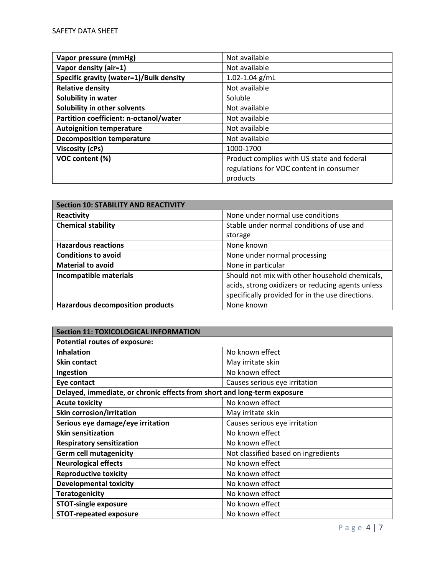| Vapor pressure (mmHg)                   | Not available                              |
|-----------------------------------------|--------------------------------------------|
| Vapor density (air=1)                   | Not available                              |
| Specific gravity (water=1)/Bulk density | $1.02 - 1.04$ g/mL                         |
| <b>Relative density</b>                 | Not available                              |
| Solubility in water                     | Soluble                                    |
| Solubility in other solvents            | Not available                              |
| Partition coefficient: n-octanol/water  | Not available                              |
| <b>Autoignition temperature</b>         | Not available                              |
| <b>Decomposition temperature</b>        | Not available                              |
| <b>Viscosity (cPs)</b>                  | 1000-1700                                  |
| VOC content (%)                         | Product complies with US state and federal |
|                                         | regulations for VOC content in consumer    |
|                                         | products                                   |

| <b>Section 10: STABILITY AND REACTIVITY</b> |                                                   |
|---------------------------------------------|---------------------------------------------------|
| Reactivity                                  | None under normal use conditions                  |
| <b>Chemical stability</b>                   | Stable under normal conditions of use and         |
|                                             | storage                                           |
| <b>Hazardous reactions</b>                  | None known                                        |
| <b>Conditions to avoid</b>                  | None under normal processing                      |
| <b>Material to avoid</b>                    | None in particular                                |
| <b>Incompatible materials</b>               | Should not mix with other household chemicals,    |
|                                             | acids, strong oxidizers or reducing agents unless |
|                                             | specifically provided for in the use directions.  |
| <b>Hazardous decomposition products</b>     | None known                                        |

| <b>Section 11: TOXICOLOGICAL INFORMATION</b>                             |                                     |  |
|--------------------------------------------------------------------------|-------------------------------------|--|
| <b>Potential routes of exposure:</b>                                     |                                     |  |
| <b>Inhalation</b>                                                        | No known effect                     |  |
| <b>Skin contact</b>                                                      | May irritate skin                   |  |
| Ingestion                                                                | No known effect                     |  |
| Eye contact                                                              | Causes serious eye irritation       |  |
| Delayed, immediate, or chronic effects from short and long-term exposure |                                     |  |
| <b>Acute toxicity</b>                                                    | No known effect                     |  |
| <b>Skin corrosion/irritation</b>                                         | May irritate skin                   |  |
| Serious eye damage/eye irritation                                        | Causes serious eye irritation       |  |
| <b>Skin sensitization</b>                                                | No known effect                     |  |
| <b>Respiratory sensitization</b>                                         | No known effect                     |  |
| <b>Germ cell mutagenicity</b>                                            | Not classified based on ingredients |  |
| <b>Neurological effects</b>                                              | No known effect                     |  |
| <b>Reproductive toxicity</b>                                             | No known effect                     |  |
| <b>Developmental toxicity</b>                                            | No known effect                     |  |
| <b>Teratogenicity</b>                                                    | No known effect                     |  |
| <b>STOT-single exposure</b>                                              | No known effect                     |  |
| <b>STOT-repeated exposure</b>                                            | No known effect                     |  |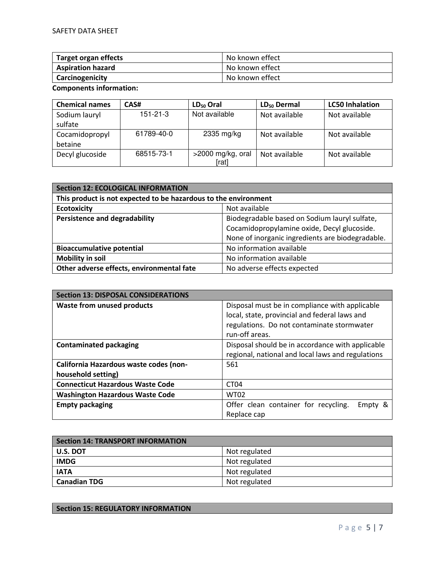| Target organ effects     | No known effect |
|--------------------------|-----------------|
| <b>Aspiration hazard</b> | No known effect |
| Carcinogenicity          | No known effect |

**Components information:** 

| <b>Chemical names</b> | CAS#           | $LD_{50}$ Oral    | $LD_{50}$ Dermal | <b>LC50 Inhalation</b> |
|-----------------------|----------------|-------------------|------------------|------------------------|
| Sodium lauryl         | $151 - 21 - 3$ | Not available     | Not available    | Not available          |
| sulfate               |                |                   |                  |                        |
| Cocamidopropyl        | 61789-40-0     | $2335$ mg/kg      | Not available    | Not available          |
| betaine               |                |                   |                  |                        |
| Decyl glucoside       | 68515-73-1     | >2000 mg/kg, oral | Not available    | Not available          |
|                       |                | [rat]             |                  |                        |

| <b>Section 12: ECOLOGICAL INFORMATION</b>                       |                                                  |
|-----------------------------------------------------------------|--------------------------------------------------|
| This product is not expected to be hazardous to the environment |                                                  |
| <b>Ecotoxicity</b>                                              | Not available                                    |
| <b>Persistence and degradability</b>                            | Biodegradable based on Sodium lauryl sulfate,    |
|                                                                 | Cocamidopropylamine oxide, Decyl glucoside.      |
|                                                                 | None of inorganic ingredients are biodegradable. |
| <b>Bioaccumulative potential</b>                                | No information available                         |
| <b>Mobility in soil</b>                                         | No information available                         |
| Other adverse effects, environmental fate                       | No adverse effects expected                      |

| <b>Section 13: DISPOSAL CONSIDERATIONS</b> |                                                   |
|--------------------------------------------|---------------------------------------------------|
| <b>Waste from unused products</b>          | Disposal must be in compliance with applicable    |
|                                            | local, state, provincial and federal laws and     |
|                                            | regulations. Do not contaminate stormwater        |
|                                            | run-off areas.                                    |
| <b>Contaminated packaging</b>              | Disposal should be in accordance with applicable  |
|                                            | regional, national and local laws and regulations |
| California Hazardous waste codes (non-     | 561                                               |
| household setting)                         |                                                   |
| <b>Connecticut Hazardous Waste Code</b>    | CT <sub>04</sub>                                  |
| <b>Washington Hazardous Waste Code</b>     | <b>WT02</b>                                       |
| <b>Empty packaging</b>                     | Offer clean container for recycling.<br>Empty &   |
|                                            | Replace cap                                       |

| <b>Section 14: TRANSPORT INFORMATION</b> |               |
|------------------------------------------|---------------|
| U.S. DOT                                 | Not regulated |
| <b>IMDG</b>                              | Not regulated |
| <b>IATA</b>                              | Not regulated |
| <b>Canadian TDG</b>                      | Not regulated |

## **Section 15: REGULATORY INFORMATION**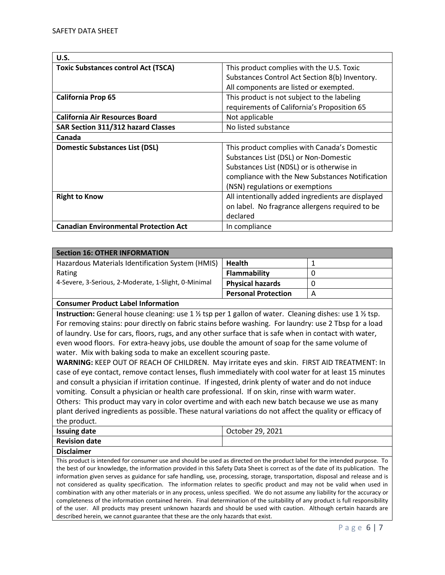| U.S.                                         |                                                   |
|----------------------------------------------|---------------------------------------------------|
| <b>Toxic Substances control Act (TSCA)</b>   | This product complies with the U.S. Toxic         |
|                                              | Substances Control Act Section 8(b) Inventory.    |
|                                              | All components are listed or exempted.            |
| <b>California Prop 65</b>                    | This product is not subject to the labeling       |
|                                              | requirements of California's Proposition 65       |
| <b>California Air Resources Board</b>        | Not applicable                                    |
| SAR Section 311/312 hazard Classes           | No listed substance                               |
| Canada                                       |                                                   |
| <b>Domestic Substances List (DSL)</b>        | This product complies with Canada's Domestic      |
|                                              | Substances List (DSL) or Non-Domestic             |
|                                              | Substances List (NDSL) or is otherwise in         |
|                                              | compliance with the New Substances Notification   |
|                                              | (NSN) regulations or exemptions                   |
| <b>Right to Know</b>                         | All intentionally added ingredients are displayed |
|                                              | on label. No fragrance allergens required to be   |
|                                              | declared                                          |
| <b>Canadian Environmental Protection Act</b> | In compliance                                     |

| <b>Section 16: OTHER INFORMATION</b>                 |                            |   |
|------------------------------------------------------|----------------------------|---|
| Hazardous Materials Identification System (HMIS)     | <b>Health</b>              |   |
| Rating                                               | Flammability               |   |
| 4-Severe, 3-Serious, 2-Moderate, 1-Slight, 0-Minimal | <b>Physical hazards</b>    |   |
|                                                      | <b>Personal Protection</b> | А |

## **Consumer Product Label Information**

**Instruction:** General house cleaning: use 1 ½ tsp per 1 gallon of water. Cleaning dishes: use 1 ½ tsp. For removing stains: pour directly on fabric stains before washing. For laundry: use 2 Tbsp for a load of laundry. Use for cars, floors, rugs, and any other surface that is safe when in contact with water, even wood floors. For extra-heavy jobs, use double the amount of soap for the same volume of water. Mix with baking soda to make an excellent scouring paste.

**WARNING:** KEEP OUT OF REACH OF CHILDREN. May irritate eyes and skin. FIRST AID TREATMENT: In case of eye contact, remove contact lenses, flush immediately with cool water for at least 15 minutes and consult a physician if irritation continue. If ingested, drink plenty of water and do not induce vomiting. Consult a physician or health care professional. If on skin, rinse with warm water. Others: This product may vary in color overtime and with each new batch because we use as many plant derived ingredients as possible. These natural variations do not affect the quality or efficacy of

the product.

| <b>Issuing date</b>  | October 29, 2021 |
|----------------------|------------------|
| <b>Revision date</b> |                  |
| - - - -              |                  |

**Disclaimer** 

This product is intended for consumer use and should be used as directed on the product label for the intended purpose. To the best of our knowledge, the information provided in this Safety Data Sheet is correct as of the date of its publication. The information given serves as guidance for safe handling, use, processing, storage, transportation, disposal and release and is not considered as quality specification. The information relates to specific product and may not be valid when used in combination with any other materials or in any process, unless specified. We do not assume any liability for the accuracy or completeness of the information contained herein. Final determination of the suitability of any product is full responsibility of the user. All products may present unknown hazards and should be used with caution. Although certain hazards are described herein, we cannot guarantee that these are the only hazards that exist.